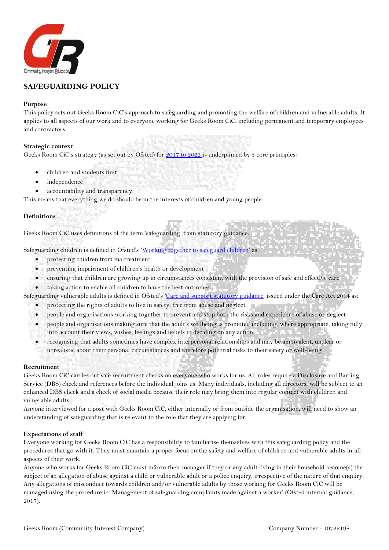

# **SAFEGUARDING POLICY**

## **Purpose**

This policy sets out Geeks Room CiC's approach to safeguarding and promoting the welfare of children and vulnerable adults. It applies to all aspects of our work and to everyone working for Geeks Room CiC, including permanent and temporary employees and contractors.

# **Strategic context**

Geeks Room CiC's strategy (as set out by Ofsted) for [2017 to 2022](https://www.gov.uk/government/publications/ofsted-strategy-2017-to-2022) is underpinned by 3 core principles:

- children and students first
- independence
- accountability and transparency

This means that everything we do should be in the interests of children and young people.

## **Definitions**

Geeks Room CiC uses definitions of the term 'safeguarding' from statutory guidance.

Safeguarding children is defined in Ofsted's '[Working together to safeguard children](https://www.gov.uk/government/publications/working-together-to-safeguard-children--2)' as:

- protecting children from maltreatment
- preventing impairment of children's health or development
- ensuring that children are growing up in circumstances consistent with the provision of safe and effective care

taking action to enable all children to have the best outcomes

Safeguarding vulnerable adults is defined in Ofsted's '[Care and support statutory guidance](https://www.gov.uk/government/publications/care-act-statutory-guidance)' issued under the Care Act 2014 as:

- protecting the rights of adults to live in safety, free from abuse and neglect
- people and organisations working together to prevent and stop both the risks and experience of abuse or neglect
- people and organisations making sure that the adult's wellbeing is promoted including, where appropriate, taking fully into account their views, wishes, feelings and beliefs in deciding on any action
- recognising that adults sometimes have complex interpersonal relationships and may be ambivalent, unclear or unrealistic about their personal circumstances and therefore potential risks to their safety or well-being

## **Recruitment**

Geeks Room CiC carries out safe recruitment checks on everyone who works for us. All roles require a Disclosure and Barring Service (DBS) check and references before the individual joins us. Many individuals, including all directors, will be subject to an enhanced DBS check and a check of social media because their role may bring them into regular contact with children and vulnerable adults.

Anyone interviewed for a post with Geeks Room CiC, either internally or from outside the organisation, will need to show an understanding of safeguarding that is relevant to the role that they are applying for.

## **Expectations of staff**

Everyone working for Geeks Room CiC has a responsibility to familiarise themselves with this safeguarding policy and the procedures that go with it. They must maintain a proper focus on the safety and welfare of children and vulnerable adults in all aspects of their work.

Anyone who works for Geeks Room CiC must inform their manager if they or any adult living in their household become(s) the subject of an allegation of abuse against a child or vulnerable adult or a police enquiry, irrespective of the nature of that enquiry. Any allegations of misconduct towards children and/or vulnerable adults by those working for Geeks Room CiC will be managed using the procedure in 'Management of safeguarding complaints made against a worker' (Ofsted internal guidance, 2017).